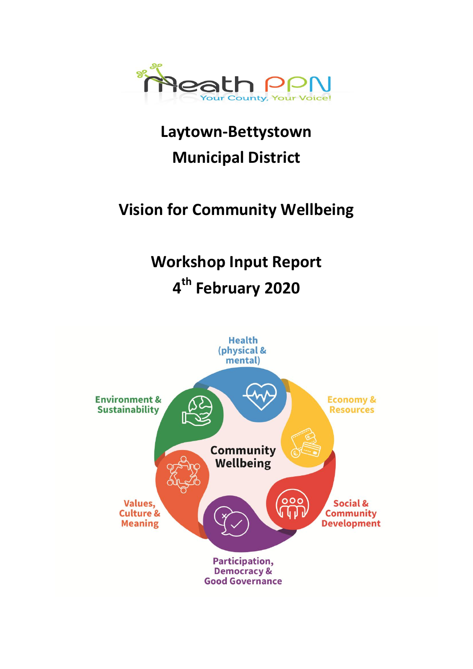

**Laytown-Bettystown Municipal District**

# **Vision for Community Wellbeing**

# **Workshop Input Report 4 th February 2020**

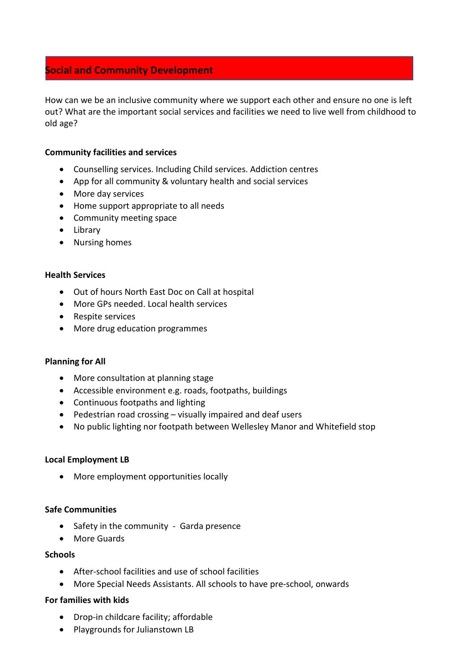# **Social and Community Development**

How can we be an inclusive community where we support each other and ensure no one is left out? What are the important social services and facilities we need to live well from childhood to old age?

# **Community facilities and services**

- Counselling services. Including Child services. Addiction centres
- App for all community & voluntary health and social services
- More day services
- Home support appropriate to all needs
- Community meeting space
- Library
- Nursing homes

# **Health Services**

- Out of hours North East Doc on Call at hospital
- More GPs needed. Local health services
- Respite services
- More drug education programmes

# **Planning for All**

- More consultation at planning stage
- Accessible environment e.g. roads, footpaths, buildings
- Continuous footpaths and lighting
- Pedestrian road crossing visually impaired and deaf users
- No public lighting nor footpath between Wellesley Manor and Whitefield stop

# **Local Employment LB**

• More employment opportunities locally

# **Safe Communities**

- Safety in the community Garda presence
- More Guards

# **Schools**

- After-school facilities and use of school facilities
- More Special Needs Assistants. All schools to have pre-school, onwards

# **For families with kids**

- Drop-in childcare facility; affordable
- Playgrounds for Julianstown LB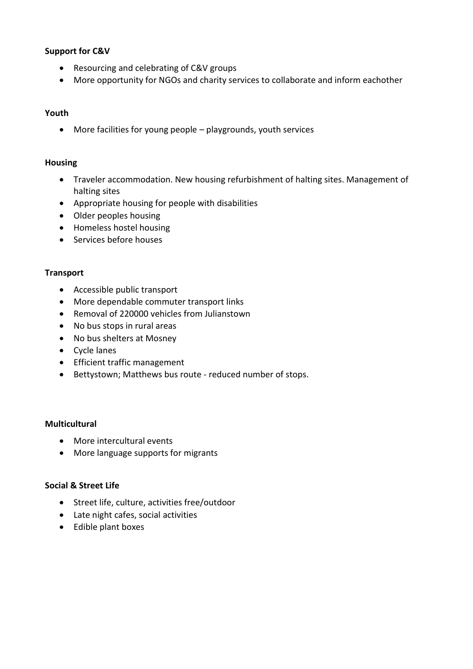# **Support for C&V**

- Resourcing and celebrating of C&V groups
- More opportunity for NGOs and charity services to collaborate and inform eachother

# **Youth**

More facilities for young people – playgrounds, youth services

# **Housing**

- Traveler accommodation. New housing refurbishment of halting sites. Management of halting sites
- Appropriate housing for people with disabilities
- Older peoples housing
- Homeless hostel housing
- Services before houses

# **Transport**

- Accessible public transport
- More dependable commuter transport links
- Removal of 220000 vehicles from Julianstown
- No bus stops in rural areas
- No bus shelters at Mosney
- Cycle lanes
- Efficient traffic management
- Bettystown; Matthews bus route reduced number of stops.

# **Multicultural**

- More intercultural events
- More language supports for migrants

# **Social & Street Life**

- Street life, culture, activities free/outdoor
- Late night cafes, social activities
- Edible plant boxes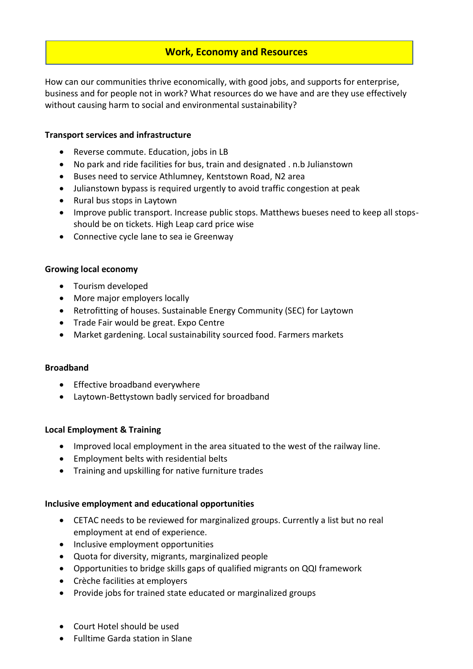# **Work, Economy and Resources**

How can our communities thrive economically, with good jobs, and supports for enterprise, business and for people not in work? What resources do we have and are they use effectively without causing harm to social and environmental sustainability?

# **Transport services and infrastructure**

- Reverse commute. Education, jobs in LB
- No park and ride facilities for bus, train and designated . n.b Julianstown
- Buses need to service Athlumney, Kentstown Road, N2 area
- Julianstown bypass is required urgently to avoid traffic congestion at peak
- Rural bus stops in Laytown
- Improve public transport. Increase public stops. Matthews bueses need to keep all stopsshould be on tickets. High Leap card price wise
- Connective cycle lane to sea ie Greenway

#### **Growing local economy**

- Tourism developed
- More major employers locally
- Retrofitting of houses. Sustainable Energy Community (SEC) for Laytown
- Trade Fair would be great. Expo Centre
- Market gardening. Local sustainability sourced food. Farmers markets

# **Broadband**

- Effective broadband everywhere
- Laytown-Bettystown badly serviced for broadband

# **Local Employment & Training**

- Improved local employment in the area situated to the west of the railway line.
- Employment belts with residential belts
- Training and upskilling for native furniture trades

# **Inclusive employment and educational opportunities**

- CETAC needs to be reviewed for marginalized groups. Currently a list but no real employment at end of experience.
- Inclusive employment opportunities
- Quota for diversity, migrants, marginalized people
- Opportunities to bridge skills gaps of qualified migrants on QQI framework
- Crèche facilities at employers
- Provide jobs for trained state educated or marginalized groups
- Court Hotel should be used
- Fulltime Garda station in Slane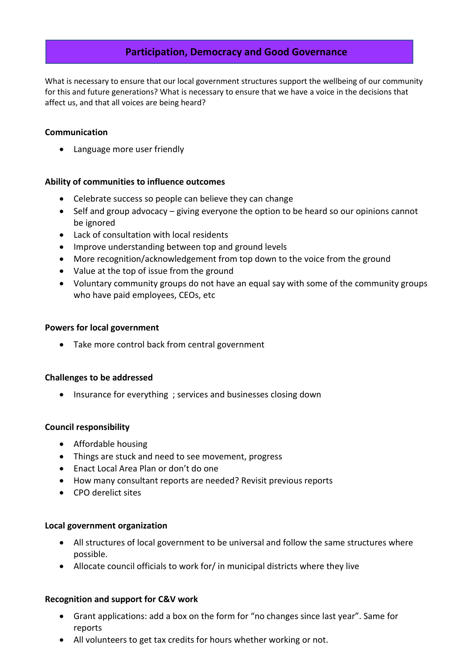# **Participation, Democracy and Good Governance**

What is necessary to ensure that our local government structures support the wellbeing of our community for this and future generations? What is necessary to ensure that we have a voice in the decisions that affect us, and that all voices are being heard?

# **Communication**

Language more user friendly

# **Ability of communities to influence outcomes**

- Celebrate success so people can believe they can change
- Self and group advocacy giving everyone the option to be heard so our opinions cannot be ignored
- Lack of consultation with local residents
- Improve understanding between top and ground levels
- More recognition/acknowledgement from top down to the voice from the ground
- Value at the top of issue from the ground
- Voluntary community groups do not have an equal say with some of the community groups who have paid employees, CEOs, etc

#### **Powers for local government**

Take more control back from central government

#### **Challenges to be addressed**

• Insurance for everything ; services and businesses closing down

# **Council responsibility**

- Affordable housing
- Things are stuck and need to see movement, progress
- Enact Local Area Plan or don't do one
- How many consultant reports are needed? Revisit previous reports
- CPO derelict sites

#### **Local government organization**

- All structures of local government to be universal and follow the same structures where possible.
- Allocate council officials to work for/ in municipal districts where they live

#### **Recognition and support for C&V work**

- Grant applications: add a box on the form for "no changes since last year". Same for reports
- All volunteers to get tax credits for hours whether working or not.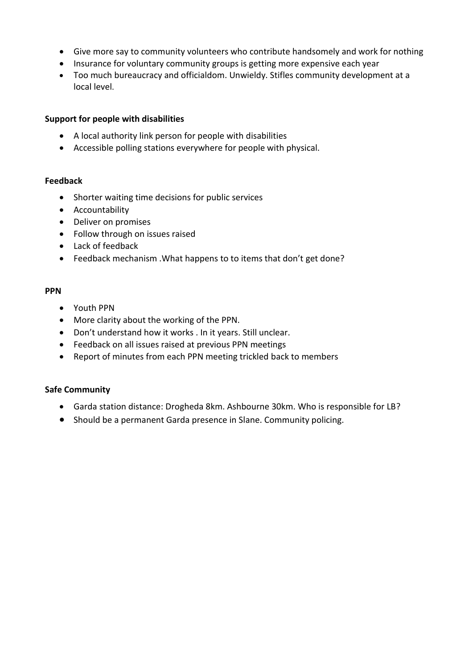- Give more say to community volunteers who contribute handsomely and work for nothing
- Insurance for voluntary community groups is getting more expensive each year
- Too much bureaucracy and officialdom. Unwieldy. Stifles community development at a local level.

# **Support for people with disabilities**

- A local authority link person for people with disabilities
- Accessible polling stations everywhere for people with physical.

#### **Feedback**

- Shorter waiting time decisions for public services
- Accountability
- Deliver on promises
- Follow through on issues raised
- Lack of feedback
- Feedback mechanism .What happens to to items that don't get done?

#### **PPN**

- Youth PPN
- More clarity about the working of the PPN.
- Don't understand how it works . In it years. Still unclear.
- Feedback on all issues raised at previous PPN meetings
- Report of minutes from each PPN meeting trickled back to members

# **Safe Community**

- Garda station distance: Drogheda 8km. Ashbourne 30km. Who is responsible for LB?
- Should be a permanent Garda presence in Slane. Community policing.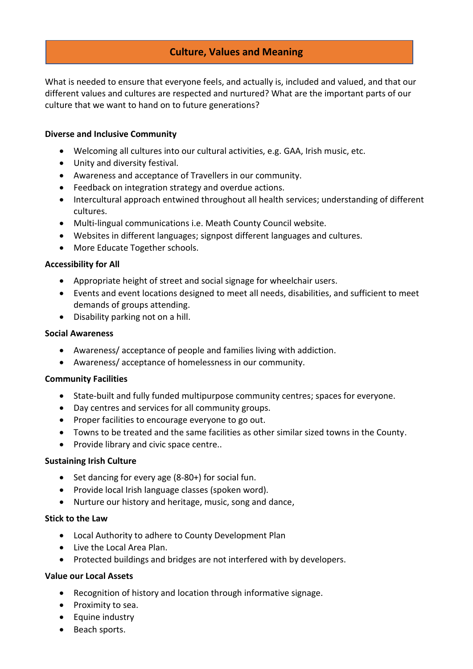# **Culture, Values and Meaning**

What is needed to ensure that everyone feels, and actually is, included and valued, and that our different values and cultures are respected and nurtured? What are the important parts of our culture that we want to hand on to future generations?

# **Diverse and Inclusive Community**

- Welcoming all cultures into our cultural activities, e.g. GAA, Irish music, etc.
- Unity and diversity festival.
- Awareness and acceptance of Travellers in our community.
- Feedback on integration strategy and overdue actions.
- Intercultural approach entwined throughout all health services; understanding of different cultures.
- Multi-lingual communications i.e. Meath County Council website.
- Websites in different languages; signpost different languages and cultures.
- More Educate Together schools.

#### **Accessibility for All**

- Appropriate height of street and social signage for wheelchair users.
- Events and event locations designed to meet all needs, disabilities, and sufficient to meet demands of groups attending.
- Disability parking not on a hill.

#### **Social Awareness**

- Awareness/ acceptance of people and families living with addiction.
- Awareness/ acceptance of homelessness in our community.

#### **Community Facilities**

- State-built and fully funded multipurpose community centres; spaces for everyone.
- Day centres and services for all community groups.
- Proper facilities to encourage everyone to go out.
- Towns to be treated and the same facilities as other similar sized towns in the County.
- Provide library and civic space centre..

#### **Sustaining Irish Culture**

- Set dancing for every age (8-80+) for social fun.
- Provide local Irish language classes (spoken word).
- Nurture our history and heritage, music, song and dance,

#### **Stick to the Law**

- Local Authority to adhere to County Development Plan
- Live the Local Area Plan.
- Protected buildings and bridges are not interfered with by developers.

# **Value our Local Assets**

- Recognition of history and location through informative signage.
- Proximity to sea.
- Equine industry
- Beach sports.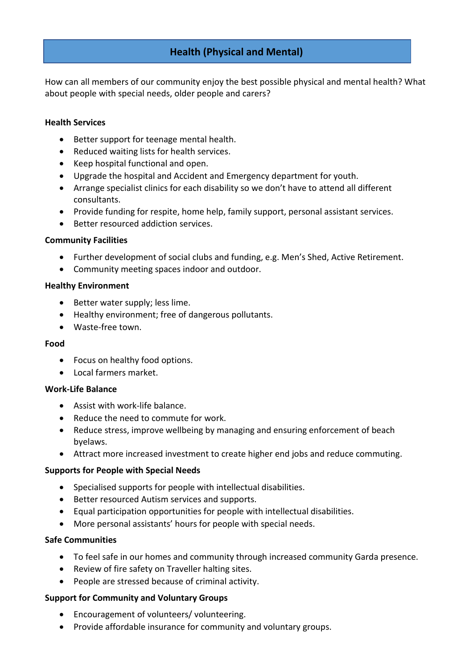# **Health (Physical and Mental)**

How can all members of our community enjoy the best possible physical and mental health? What about people with special needs, older people and carers?

### **Health Services**

- Better support for teenage mental health.
- Reduced waiting lists for health services.
- Keep hospital functional and open.
- Upgrade the hospital and Accident and Emergency department for youth.
- Arrange specialist clinics for each disability so we don't have to attend all different consultants.
- Provide funding for respite, home help, family support, personal assistant services.
- Better resourced addiction services.

# **Community Facilities**

- Further development of social clubs and funding, e.g. Men's Shed, Active Retirement.
- Community meeting spaces indoor and outdoor.

#### **Healthy Environment**

- Better water supply; less lime.
- Healthy environment; free of dangerous pollutants.
- Waste-free town.

# **Food**

- Focus on healthy food options.
- **.** Local farmers market

# **Work-Life Balance**

- Assist with work-life balance.
- Reduce the need to commute for work.
- Reduce stress, improve wellbeing by managing and ensuring enforcement of beach byelaws.
- Attract more increased investment to create higher end jobs and reduce commuting.

# **Supports for People with Special Needs**

- Specialised supports for people with intellectual disabilities.
- Better resourced Autism services and supports.
- Equal participation opportunities for people with intellectual disabilities.
- More personal assistants' hours for people with special needs.

# **Safe Communities**

- To feel safe in our homes and community through increased community Garda presence.
- Review of fire safety on Traveller halting sites.
- People are stressed because of criminal activity.

# **Support for Community and Voluntary Groups**

- Encouragement of volunteers/ volunteering.
- Provide affordable insurance for community and voluntary groups.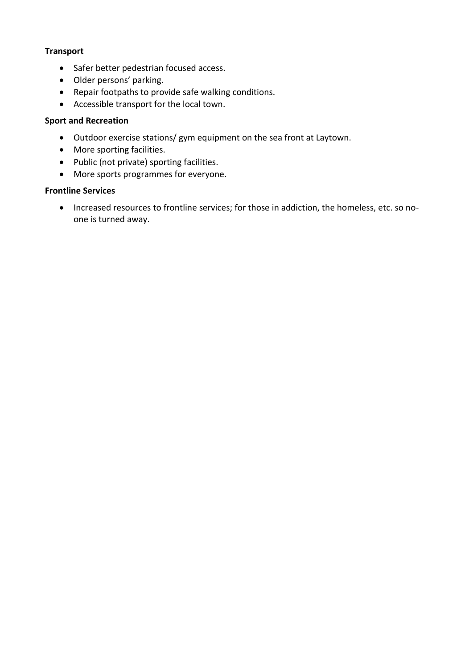# **Transport**

- Safer better pedestrian focused access.
- Older persons' parking.
- Repair footpaths to provide safe walking conditions.
- Accessible transport for the local town.

# **Sport and Recreation**

- Outdoor exercise stations/ gym equipment on the sea front at Laytown.
- More sporting facilities.
- Public (not private) sporting facilities.
- More sports programmes for everyone.

# **Frontline Services**

 Increased resources to frontline services; for those in addiction, the homeless, etc. so noone is turned away.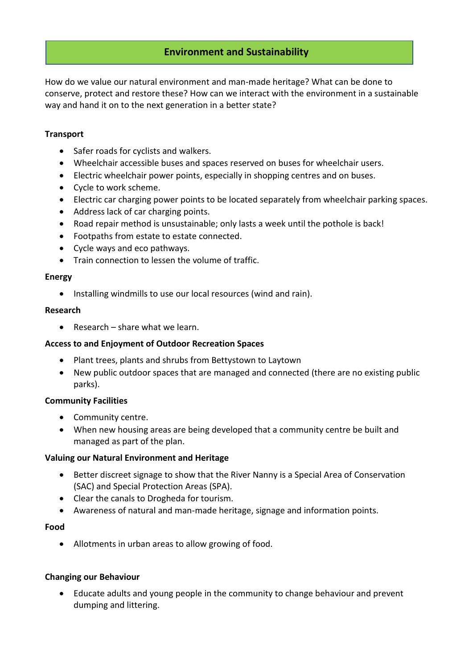# **Environment and Sustainability**

How do we value our natural environment and man-made heritage? What can be done to conserve, protect and restore these? How can we interact with the environment in a sustainable way and hand it on to the next generation in a better state?

# **Transport**

- Safer roads for cyclists and walkers.
- Wheelchair accessible buses and spaces reserved on buses for wheelchair users.
- Electric wheelchair power points, especially in shopping centres and on buses.
- Cycle to work scheme.
- Electric car charging power points to be located separately from wheelchair parking spaces.
- Address lack of car charging points.
- Road repair method is unsustainable; only lasts a week until the pothole is back!
- Footpaths from estate to estate connected.
- Cycle ways and eco pathways.
- Train connection to lessen the volume of traffic.

#### **Energy**

• Installing windmills to use our local resources (wind and rain).

#### **Research**

 $\bullet$  Research – share what we learn.

# **Access to and Enjoyment of Outdoor Recreation Spaces**

- Plant trees, plants and shrubs from Bettystown to Laytown
- New public outdoor spaces that are managed and connected (there are no existing public parks).

# **Community Facilities**

- Community centre.
- When new housing areas are being developed that a community centre be built and managed as part of the plan.

# **Valuing our Natural Environment and Heritage**

- Better discreet signage to show that the River Nanny is a Special Area of Conservation (SAC) and Special Protection Areas (SPA).
- Clear the canals to Drogheda for tourism.
- Awareness of natural and man-made heritage, signage and information points.

# **Food**

Allotments in urban areas to allow growing of food.

# **Changing our Behaviour**

 Educate adults and young people in the community to change behaviour and prevent dumping and littering.